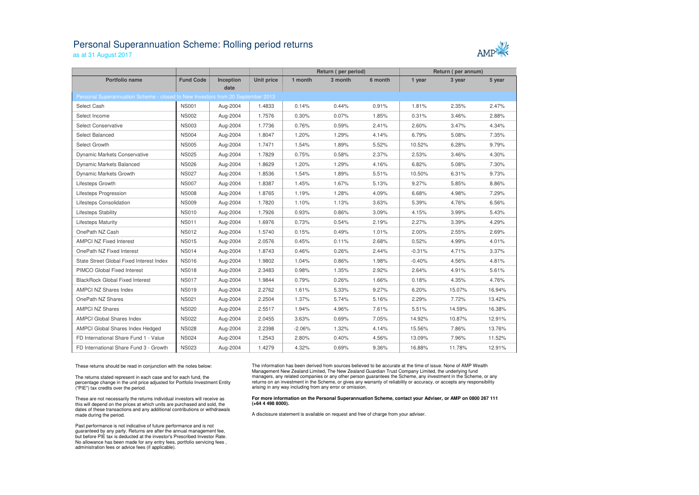## Personal Superannuation Scheme: Rolling period returns

as at 31 August 2017

| AMP |  |
|-----|--|

|                                                                                 |                  |           |                   | Return (per period) |         |          | Return (per annum) |        |        |
|---------------------------------------------------------------------------------|------------------|-----------|-------------------|---------------------|---------|----------|--------------------|--------|--------|
| <b>Portfolio name</b>                                                           | <b>Fund Code</b> | Inception | <b>Unit price</b> | 1 month             | 3 month | 6 month  | 1 year             | 3 year | 5 year |
|                                                                                 |                  | date      |                   |                     |         |          |                    |        |        |
| Personal Superannuation Scheme - closed to New Investors from 20 September 2013 |                  |           |                   |                     |         |          |                    |        |        |
| Select Cash                                                                     | <b>NS001</b>     | Aug-2004  | 1.4833            | 0.14%               | 0.44%   | 0.91%    | 1.81%              | 2.35%  | 2.47%  |
| Select Income                                                                   | <b>NS002</b>     | Aug-2004  | 1.7576            | 0.30%               | 0.07%   | 1.85%    | 0.31%              | 3.46%  | 2.88%  |
| Select Conservative                                                             | <b>NS003</b>     | Aug-2004  | 1.7736            | 0.76%               | 0.59%   | 2.41%    | 2.60%              | 3.47%  | 4.34%  |
| Select Balanced                                                                 | <b>NS004</b>     | Aug-2004  | 1.8047            | 1.20%               | 1.29%   | 4.14%    | 6.79%              | 5.08%  | 7.35%  |
| Select Growth                                                                   | <b>NS005</b>     | Aug-2004  | 1.7471            | 1.54%               | 1.89%   | 5.52%    | 10.52%             | 6.28%  | 9.79%  |
| Dynamic Markets Conservative                                                    | <b>NS025</b>     | Aug-2004  | 1.7829            | 0.75%               | 0.58%   | 2.37%    | 2.53%              | 3.46%  | 4.30%  |
| Dynamic Markets Balanced                                                        | <b>NS026</b>     | Aug-2004  | 1.8629            | 1.20%               | 1.29%   | 4.16%    | 6.82%              | 5.08%  | 7.30%  |
| Dynamic Markets Growth                                                          | <b>NS027</b>     | Aug-2004  | 1.8536            | 1.54%               | 1.89%   | 5.51%    | 10.50%             | 6.31%  | 9.73%  |
| Lifesteps Growth                                                                | <b>NS007</b>     | Aug-2004  | 1.8387            | 1.45%               | 1.67%   | 5.13%    | 9.27%              | 5.85%  | 8.86%  |
| Lifesteps Progression                                                           | <b>NS008</b>     | Aug-2004  | 1.8765            | 1.19%               | 1.28%   | 4.09%    | 6.68%              | 4.98%  | 7.29%  |
| Lifesteps Consolidation                                                         | <b>NS009</b>     | Aug-2004  | 1.7820            | 1.10%               | 1.13%   | 3.63%    | 5.39%              | 4.76%  | 6.56%  |
| Lifesteps Stability                                                             | <b>NS010</b>     | Aug-2004  | 1.7926            | 0.93%               | 0.86%   | 3.09%    | 4.15%              | 3.99%  | 5.43%  |
| <b>Lifesteps Maturity</b>                                                       | <b>NS011</b>     | Aug-2004  | 1.6976            | 0.73%               | 0.54%   | 2.19%    | 2.27%              | 3.39%  | 4.29%  |
| OnePath NZ Cash                                                                 | <b>NS012</b>     | Aug-2004  | 1.5740            | 0.15%               | 0.49%   | $1.01\%$ | 2.00%              | 2.55%  | 2.69%  |
| <b>AMPCI NZ Fixed Interest</b>                                                  | <b>NS015</b>     | Aug-2004  | 2.0576            | 0.45%               | 0.11%   | 2.68%    | 0.52%              | 4.99%  | 4.01%  |
| OnePath NZ Fixed Interest                                                       | <b>NS014</b>     | Aug-2004  | 1.8743            | 0.46%               | 0.26%   | 2.44%    | $-0.31%$           | 4.71%  | 3.37%  |
| State Street Global Fixed Interest Index                                        | <b>NS016</b>     | Aug-2004  | 1.9802            | 1.04%               | 0.86%   | 1.98%    | $-0.40%$           | 4.56%  | 4.81%  |
| <b>PIMCO Global Fixed Interest</b>                                              | <b>NS018</b>     | Aug-2004  | 2.3483            | 0.98%               | 1.35%   | 2.92%    | 2.64%              | 4.91%  | 5.61%  |
| <b>BlackRock Global Fixed Interest</b>                                          | <b>NS017</b>     | Aug-2004  | 1.9844            | 0.79%               | 0.26%   | 1.66%    | 0.18%              | 4.35%  | 4.76%  |
| <b>AMPCI NZ Shares Index</b>                                                    | <b>NS019</b>     | Aug-2004  | 2.2762            | 1.61%               | 5.33%   | 9.27%    | 6.20%              | 15.07% | 16.94% |
| OnePath NZ Shares                                                               | <b>NS021</b>     | Aug-2004  | 2.2504            | 1.37%               | 5.74%   | 5.16%    | 2.29%              | 7.72%  | 13.42% |
| <b>AMPCI NZ Shares</b>                                                          | <b>NS020</b>     | Aug-2004  | 2.5517            | 1.94%               | 4.96%   | 7.61%    | 5.51%              | 14.59% | 16.38% |
| <b>AMPCI Global Shares Index</b>                                                | <b>NS022</b>     | Aug-2004  | 2.0455            | 3.63%               | 0.69%   | 7.05%    | 14.92%             | 10.87% | 12.91% |
| AMPCI Global Shares Index Hedged                                                | <b>NS028</b>     | Aug-2004  | 2.2398            | $-2.06%$            | 1.32%   | 4.14%    | 15.56%             | 7.86%  | 13.76% |
| FD International Share Fund 1 - Value                                           | <b>NS024</b>     | Aug-2004  | 1.2543            | 2.80%               | 0.40%   | 4.56%    | 13.09%             | 7.96%  | 11.52% |
| FD International Share Fund 3 - Growth                                          | <b>NS023</b>     | Aug-2004  | 1.4279            | 4.32%               | 0.69%   | 9.36%    | 16.88%             | 11.78% | 12.91% |
|                                                                                 |                  |           |                   |                     |         |          |                    |        |        |

These returns should be read in conjunction with the notes below:

The returns stated represent in each case and for each fund, the percentage change in the unit price adjusted for Portfolio Investment Entity ("PIE") tax credits over the period.

These are not necessarily the returns individual investors will receive as this will depend on the prices at which units are purchased and sold, the dates of these transactions and any additional contributions or withdrawals made during the period.

Past performance is not indicative of future performance and is not guaranteed by any party. Returns are after the annual management fee, but before PIE tax is deducted at the investor's Prescribed Investor Rate. No allowance has been made for any entry fees, portfolio servicing fees , administration fees or advice fees (if applicable).

The information has been derived from sources believed to be accurate at the time of issue. None of AMP Wealth Management New Zealand Limited, The New Zealand Guardian Trust Company Limited, the underlying fund managers, any related companies or any other person guarantees the Scheme, any investment in the Scheme, or any returns on an investment in the Scheme, or gives any warranty of reliability or accuracy, or accepts any responsibility arising in any way including from any error or omission.

## **For more information on the Personal Superannuation Scheme, contact your Adviser, or AMP on 0800 267 111 (+64 4 498 8000).**

A disclosure statement is available on request and free of charge from your adviser.